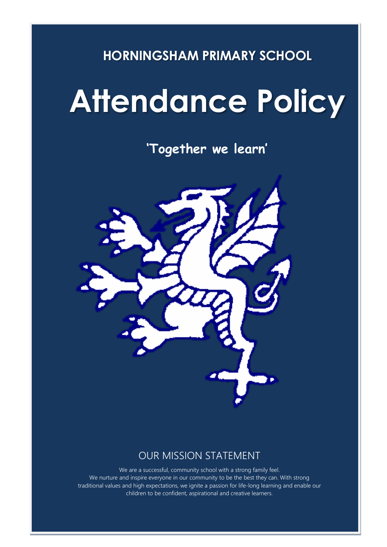## **HORNINGSHAM PRIMARY SCHOOL**

# **Attendance Policy**

**'Together we learn'**



### OUR MISSION STATEMENT

We are a successful, community school with a strong family feel. We nurture and inspire everyone in our community to be the best they can. With strong traditional values and high expectations, we ignite a passion for life-long learning and enable our children to be confident, aspirational and creative learners.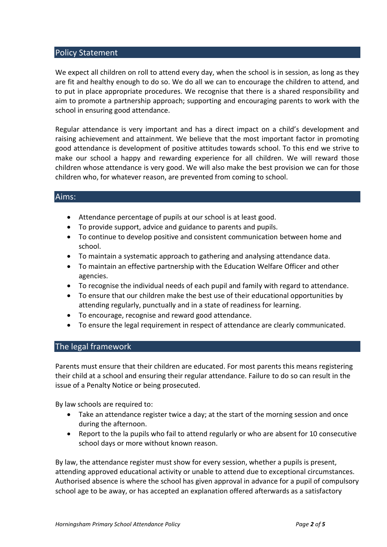#### Policy Statement

We expect all children on roll to attend every day, when the school is in session, as long as they are fit and healthy enough to do so. We do all we can to encourage the children to attend, and to put in place appropriate procedures. We recognise that there is a shared responsibility and aim to promote a partnership approach; supporting and encouraging parents to work with the school in ensuring good attendance.

Regular attendance is very important and has a direct impact on a child's development and raising achievement and attainment. We believe that the most important factor in promoting good attendance is development of positive attitudes towards school. To this end we strive to make our school a happy and rewarding experience for all children. We will reward those children whose attendance is very good. We will also make the best provision we can for those children who, for whatever reason, are prevented from coming to school.

#### Aims:

- Attendance percentage of pupils at our school is at least good.
- To provide support, advice and guidance to parents and pupils.
- To continue to develop positive and consistent communication between home and school.
- To maintain a systematic approach to gathering and analysing attendance data.
- To maintain an effective partnership with the Education Welfare Officer and other agencies.
- To recognise the individual needs of each pupil and family with regard to attendance.
- To ensure that our children make the best use of their educational opportunities by attending regularly, punctually and in a state of readiness for learning.
- To encourage, recognise and reward good attendance.
- To ensure the legal requirement in respect of attendance are clearly communicated.

#### The legal framework

Parents must ensure that their children are educated. For most parents this means registering their child at a school and ensuring their regular attendance. Failure to do so can result in the issue of a Penalty Notice or being prosecuted.

By law schools are required to:

- Take an attendance register twice a day; at the start of the morning session and once during the afternoon.
- Report to the la pupils who fail to attend regularly or who are absent for 10 consecutive school days or more without known reason.

By law, the attendance register must show for every session, whether a pupils is present, attending approved educational activity or unable to attend due to exceptional circumstances. Authorised absence is where the school has given approval in advance for a pupil of compulsory school age to be away, or has accepted an explanation offered afterwards as a satisfactory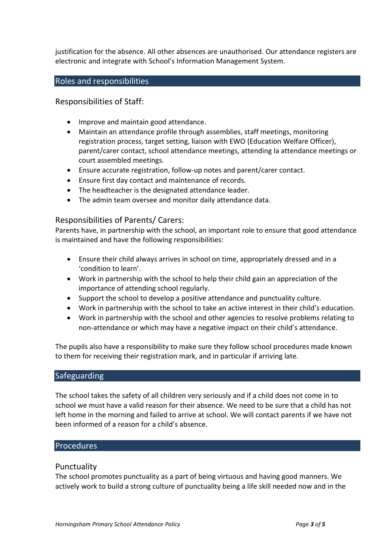justification for the absence. All other absences are unauthorised. Our attendance registers are electronic and integrate with School's Information Management System.

#### Roles and responsibilities

Responsibilities of Staff:

- Improve and maintain good attendance.
- Maintain an attendance profile through assemblies, staff meetings, monitoring registration process, target setting, liaison with EWO (Education Welfare Officer), parent/carer contact, school attendance meetings, attending la attendance meetings or court assembled meetings.
- Ensure accurate registration, follow-up notes and parent/carer contact.
- Ensure first day contact and maintenance of records.
- The headteacher is the designated attendance leader.
- The admin team oversee and monitor daily attendance data.

#### Responsibilities of Parents/ Carers:

Parents have, in partnership with the school, an important role to ensure that good attendance is maintained and have the following responsibilities:

- Ensure their child always arrives in school on time, appropriately dressed and in a 'condition to learn'.
- Work in partnership with the school to help their child gain an appreciation of the importance of attending school regularly.
- Support the school to develop a positive attendance and punctuality culture.
- Work in partnership with the school to take an active interest in their child's education.
- Work in partnership with the school and other agencies to resolve problems relating to non-attendance or which may have a negative impact on their child's attendance.

The pupils also have a responsibility to make sure they follow school procedures made known to them for receiving their registration mark, and in particular if arriving late.

#### **Safeguarding**

The school takes the safety of all children very seriously and if a child does not come in to school we must have a valid reason for their absence. We need to be sure that a child has not left home in the morning and failed to arrive at school. We will contact parents if we have not been informed of a reason for a child's absence.

#### Procedures

#### Punctuality

The school promotes punctuality as a part of being virtuous and having good manners. We actively work to build a strong culture of punctuality being a life skill needed now and in the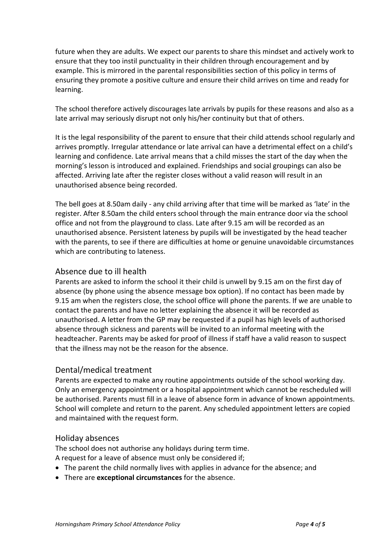future when they are adults. We expect our parents to share this mindset and actively work to ensure that they too instil punctuality in their children through encouragement and by example. This is mirrored in the parental responsibilities section of this policy in terms of ensuring they promote a positive culture and ensure their child arrives on time and ready for learning.

The school therefore actively discourages late arrivals by pupils for these reasons and also as a late arrival may seriously disrupt not only his/her continuity but that of others.

It is the legal responsibility of the parent to ensure that their child attends school regularly and arrives promptly. Irregular attendance or late arrival can have a detrimental effect on a child's learning and confidence. Late arrival means that a child misses the start of the day when the morning's lesson is introduced and explained. Friendships and social groupings can also be affected. Arriving late after the register closes without a valid reason will result in an unauthorised absence being recorded.

The bell goes at 8.50am daily - any child arriving after that time will be marked as 'late' in the register. After 8.50am the child enters school through the main entrance door via the school office and not from the playground to class. Late after 9.15 am will be recorded as an unauthorised absence. Persistent lateness by pupils will be investigated by the head teacher with the parents, to see if there are difficulties at home or genuine unavoidable circumstances which are contributing to lateness.

#### Absence due to ill health

Parents are asked to inform the school it their child is unwell by 9.15 am on the first day of absence (by phone using the absence message box option). If no contact has been made by 9.15 am when the registers close, the school office will phone the parents. If we are unable to contact the parents and have no letter explaining the absence it will be recorded as unauthorised. A letter from the GP may be requested if a pupil has high levels of authorised absence through sickness and parents will be invited to an informal meeting with the headteacher. Parents may be asked for proof of illness if staff have a valid reason to suspect that the illness may not be the reason for the absence.

#### Dental/medical treatment

Parents are expected to make any routine appointments outside of the school working day. Only an emergency appointment or a hospital appointment which cannot be rescheduled will be authorised. Parents must fill in a leave of absence form in advance of known appointments. School will complete and return to the parent. Any scheduled appointment letters are copied and maintained with the request form.

#### Holiday absences

The school does not authorise any holidays during term time.

A request for a leave of absence must only be considered if;

- The parent the child normally lives with applies in advance for the absence; and
- There are **exceptional circumstances** for the absence.